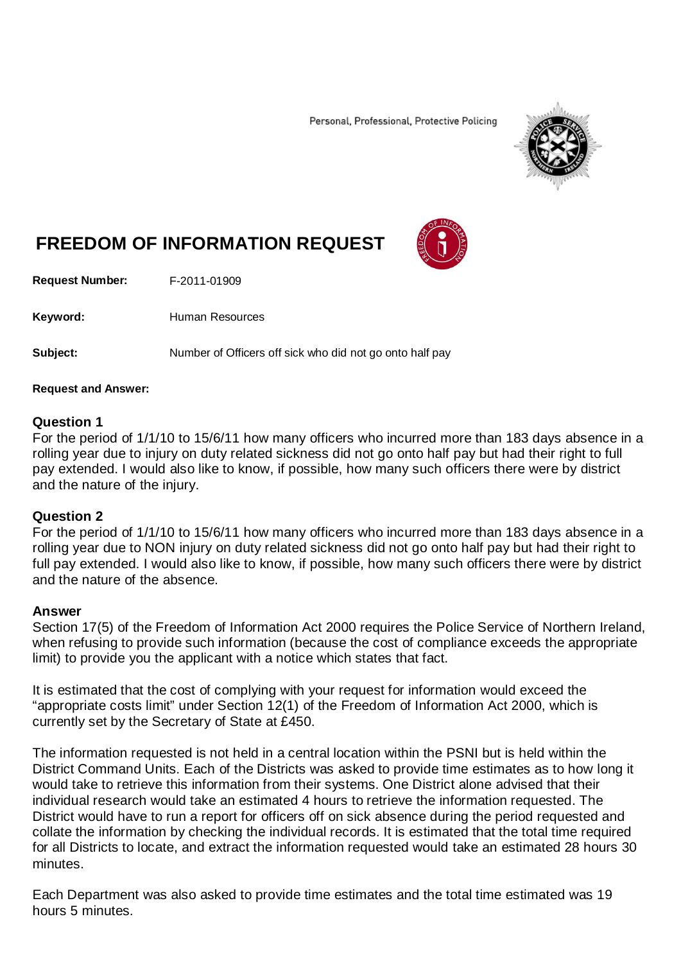Personal, Professional, Protective Policing



# **FREEDOM OF INFORMATION REQUEST**

**Request Number:** F-2011-01909

Keyword: Human Resources

**Subject:** Number of Officers off sick who did not go onto half pay

### **Request and Answer:**

### **Question 1**

For the period of 1/1/10 to 15/6/11 how many officers who incurred more than 183 days absence in a rolling year due to injury on duty related sickness did not go onto half pay but had their right to full pay extended. I would also like to know, if possible, how many such officers there were by district and the nature of the injury.

# **Question 2**

For the period of 1/1/10 to 15/6/11 how many officers who incurred more than 183 days absence in a rolling year due to NON injury on duty related sickness did not go onto half pay but had their right to full pay extended. I would also like to know, if possible, how many such officers there were by district and the nature of the absence.

# **Answer**

Section 17(5) of the Freedom of Information Act 2000 requires the Police Service of Northern Ireland, when refusing to provide such information (because the cost of compliance exceeds the appropriate limit) to provide you the applicant with a notice which states that fact.

It is estimated that the cost of complying with your request for information would exceed the "appropriate costs limit" under Section 12(1) of the Freedom of Information Act 2000, which is currently set by the Secretary of State at £450.

The information requested is not held in a central location within the PSNI but is held within the District Command Units. Each of the Districts was asked to provide time estimates as to how long it would take to retrieve this information from their systems. One District alone advised that their individual research would take an estimated 4 hours to retrieve the information requested. The District would have to run a report for officers off on sick absence during the period requested and collate the information by checking the individual records. It is estimated that the total time required for all Districts to locate, and extract the information requested would take an estimated 28 hours 30 minutes.

Each Department was also asked to provide time estimates and the total time estimated was 19 hours 5 minutes.